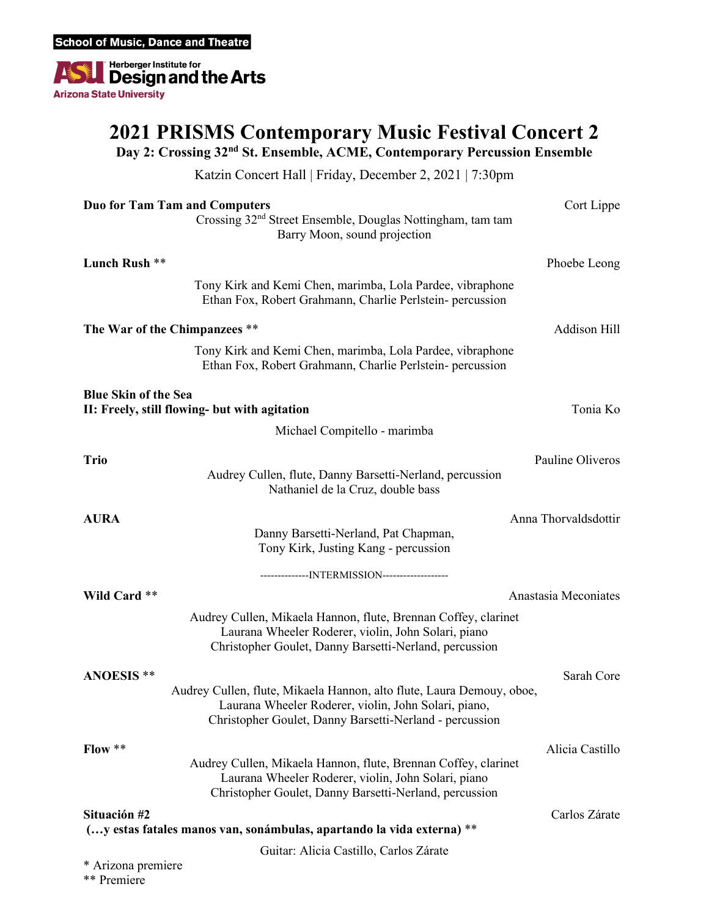Herberger Institute for<br>Design and the Arts ■ **Arizona State University** 

## **2021 PRISMS Contemporary Music Festival Concert 2**

**Day 2: Crossing 32nd St. Ensemble, ACME, Contemporary Percussion Ensemble**

Katzin Concert Hall | Friday, December 2, 2021 | 7:30pm

| <b>Duo for Tam Tam and Computers</b>          |                                                                                                                                                                                          | Cort Lippe           |
|-----------------------------------------------|------------------------------------------------------------------------------------------------------------------------------------------------------------------------------------------|----------------------|
|                                               | Crossing 32 <sup>nd</sup> Street Ensemble, Douglas Nottingham, tam tam<br>Barry Moon, sound projection                                                                                   |                      |
| Lunch Rush **                                 |                                                                                                                                                                                          | Phoebe Leong         |
|                                               | Tony Kirk and Kemi Chen, marimba, Lola Pardee, vibraphone<br>Ethan Fox, Robert Grahmann, Charlie Perlstein- percussion                                                                   |                      |
| The War of the Chimpanzees **                 |                                                                                                                                                                                          | Addison Hill         |
|                                               | Tony Kirk and Kemi Chen, marimba, Lola Pardee, vibraphone<br>Ethan Fox, Robert Grahmann, Charlie Perlstein- percussion                                                                   |                      |
| <b>Blue Skin of the Sea</b>                   |                                                                                                                                                                                          |                      |
| II: Freely, still flowing- but with agitation |                                                                                                                                                                                          | Tonia Ko             |
|                                               | Michael Compitello - marimba                                                                                                                                                             |                      |
| <b>Trio</b>                                   |                                                                                                                                                                                          | Pauline Oliveros     |
|                                               | Audrey Cullen, flute, Danny Barsetti-Nerland, percussion<br>Nathaniel de la Cruz, double bass                                                                                            |                      |
| <b>AURA</b>                                   |                                                                                                                                                                                          | Anna Thorvaldsdottir |
|                                               | Danny Barsetti-Nerland, Pat Chapman,<br>Tony Kirk, Justing Kang - percussion                                                                                                             |                      |
|                                               | ---------------INTERMISSION-------------------                                                                                                                                           |                      |
| Wild Card **                                  |                                                                                                                                                                                          | Anastasia Meconiates |
|                                               | Audrey Cullen, Mikaela Hannon, flute, Brennan Coffey, clarinet<br>Laurana Wheeler Roderer, violin, John Solari, piano<br>Christopher Goulet, Danny Barsetti-Nerland, percussion          |                      |
| <b>ANOESIS **</b>                             |                                                                                                                                                                                          | Sarah Core           |
|                                               | Audrey Cullen, flute, Mikaela Hannon, alto flute, Laura Demouy, oboe,<br>Laurana Wheeler Roderer, violin, John Solari, piano,<br>Christopher Goulet, Danny Barsetti-Nerland - percussion |                      |
| $Flow**$                                      |                                                                                                                                                                                          | Alicia Castillo      |
|                                               | Audrey Cullen, Mikaela Hannon, flute, Brennan Coffey, clarinet<br>Laurana Wheeler Roderer, violin, John Solari, piano<br>Christopher Goulet, Danny Barsetti-Nerland, percussion          |                      |
| Situación #2                                  | (y estas fatales manos van, sonámbulas, apartando la vida externa) **                                                                                                                    | Carlos Zárate        |
| Guitar: Alicia Castillo, Carlos Zárate        |                                                                                                                                                                                          |                      |
| * Arizona premiere                            |                                                                                                                                                                                          |                      |

\*\* Premiere